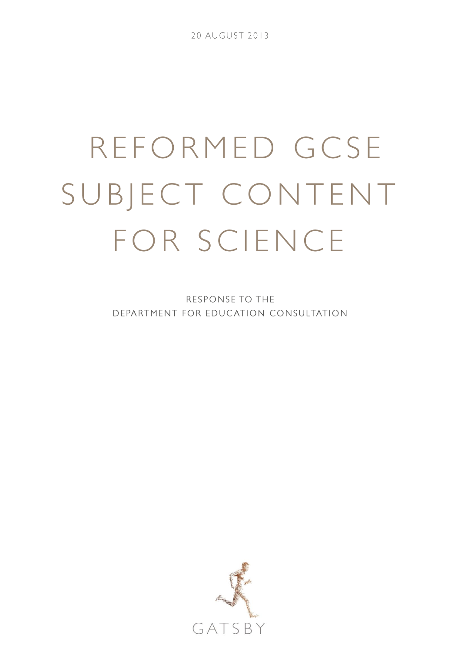20 AUGUST 2013

# REFORMED GCSE SUBJECT CONTENT FOR SCIENCE

RESPONSE TO THE DEPARTMENT FOR EDUCATION CONSULTATION

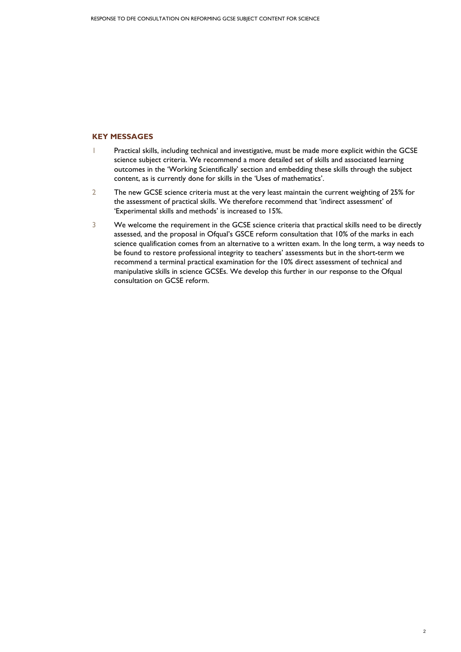## **KEY MESSAGES**

- 1 Practical skills, including technical and investigative, must be made more explicit within the GCSE science subject criteria. We recommend a more detailed set of skills and associated learning outcomes in the 'Working Scientifically' section and embedding these skills through the subject content, as is currently done for skills in the 'Uses of mathematics'.
- 2 The new GCSE science criteria must at the very least maintain the current weighting of 25% for the assessment of practical skills. We therefore recommend that 'indirect assessment' of 'Experimental skills and methods' is increased to 15%.
- 3 We welcome the requirement in the GCSE science criteria that practical skills need to be directly assessed, and the proposal in Ofqual's GSCE reform consultation that 10% of the marks in each science qualification comes from an alternative to a written exam. In the long term, a way needs to be found to restore professional integrity to teachers' assessments but in the short-term we recommend a terminal practical examination for the 10% direct assessment of technical and manipulative skills in science GCSEs. We develop this further in our response to the Ofqual consultation on GCSE reform.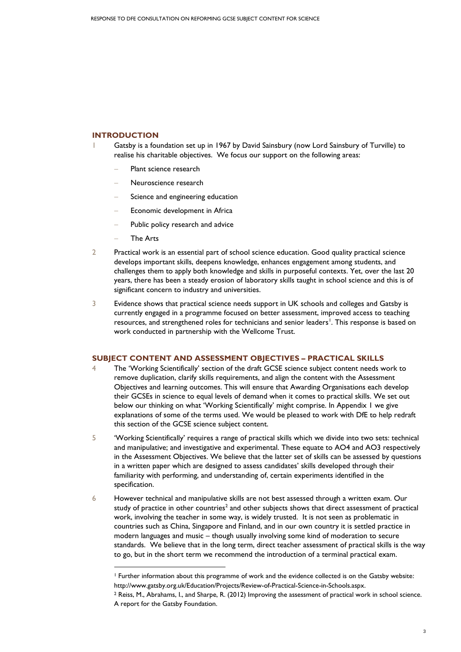## **INTRODUCTION**

- 1 Gatsby is a foundation set up in 1967 by David Sainsbury (now Lord Sainsbury of Turville) to realise his charitable objectives. We focus our support on the following areas:
	- Plant science research
	- Neuroscience research
	- Science and engineering education
	- Economic development in Africa
	- Public policy research and advice
	- The Arts

 $\overline{a}$ 

- 2 Practical work is an essential part of school science education. Good quality practical science develops important skills, deepens knowledge, enhances engagement among students, and challenges them to apply both knowledge and skills in purposeful contexts. Yet, over the last 20 years, there has been a steady erosion of laboratory skills taught in school science and this is of significant concern to industry and universities.
- 3 Evidence shows that practical science needs support in UK schools and colleges and Gatsby is currently engaged in a programme focused on better assessment, improved access to teaching resources, and strengthened roles for technicians and senior leaders<sup>1</sup>. This response is based on work conducted in partnership with the Wellcome Trust.

#### **SUBJECT CONTENT AND ASSESSMENT OBJECTIVES – PRACTICAL SKILLS**

- 4 The 'Working Scientifically' section of the draft GCSE science subject content needs work to remove duplication, clarify skills requirements, and align the content with the Assessment Objectives and learning outcomes. This will ensure that Awarding Organisations each develop their GCSEs in science to equal levels of demand when it comes to practical skills. We set out below our thinking on what 'Working Scientifically' might comprise. In Appendix 1 we give explanations of some of the terms used. We would be pleased to work with DfE to help redraft this section of the GCSE science subject content.
- 5 'Working Scientifically' requires a range of practical skills which we divide into two sets: technical and manipulative; and investigative and experimental. These equate to AO4 and AO3 respectively in the Assessment Objectives. We believe that the latter set of skills can be assessed by questions in a written paper which are designed to assess candidates' skills developed through their familiarity with performing, and understanding of, certain experiments identified in the specification.
- 6 However technical and manipulative skills are not best assessed through a written exam. Our study of practice in other countries<sup>2</sup> and other subjects shows that direct assessment of practical work, involving the teacher in some way, is widely trusted. It is not seen as problematic in countries such as China, Singapore and Finland, and in our own country it is settled practice in modern languages and music – though usually involving some kind of moderation to secure standards. We believe that in the long term, direct teacher assessment of practical skills is the way to go, but in the short term we recommend the introduction of a terminal practical exam.

<sup>1</sup> Further information about this programme of work and the evidence collected is on the Gatsby website: [http://www.gatsby.org.uk/Education/Projects/Review-of-Practical-Science-in-Schools.aspx.](http://www.gatsby.org.uk/Education/Projects/Review-of-Practical-Science-in-Schools.aspx) 

<sup>2</sup> Reiss, M., Abrahams, I., and Sharpe, R. (2012) Improving the assessment of practical work in school science. A report for the Gatsby Foundation.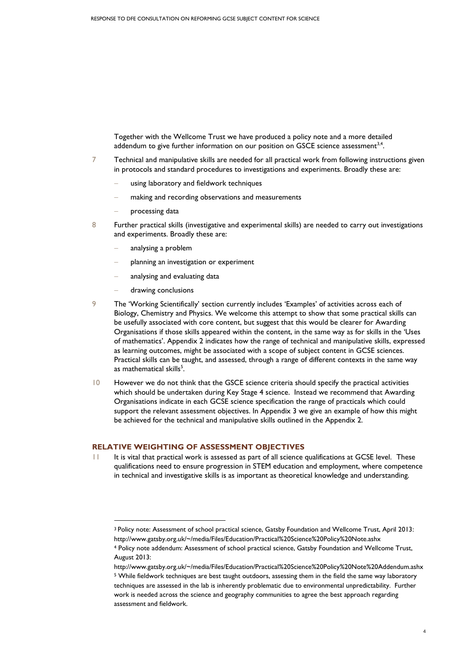Together with the Wellcome Trust we have produced a policy note and a more detailed addendum to give further information on our position on GSCE science assessment $^{3,4}$ .

- 7 Technical and manipulative skills are needed for all practical work from following instructions given in protocols and standard procedures to investigations and experiments. Broadly these are:
	- using laboratory and fieldwork techniques
	- making and recording observations and measurements
	- processing data
- 8 Further practical skills (investigative and experimental skills) are needed to carry out investigations and experiments. Broadly these are:
	- analysing a problem
	- planning an investigation or experiment
	- analysing and evaluating data
	- drawing conclusions

1

- 9 The 'Working Scientifically' section currently includes 'Examples' of activities across each of Biology, Chemistry and Physics. We welcome this attempt to show that some practical skills can be usefully associated with core content, but suggest that this would be clearer for Awarding Organisations if those skills appeared within the content, in the same way as for skills in the 'Uses of mathematics'. Appendix 2 indicates how the range of technical and manipulative skills, expressed as learning outcomes, might be associated with a scope of subject content in GCSE sciences. Practical skills can be taught, and assessed, through a range of different contexts in the same way as mathematical skills<sup>5</sup>.
- 10 However we do not think that the GSCE science criteria should specify the practical activities which should be undertaken during Key Stage 4 science. Instead we recommend that Awarding Organisations indicate in each GCSE science specification the range of practicals which could support the relevant assessment objectives. In Appendix 3 we give an example of how this might be achieved for the technical and manipulative skills outlined in the Appendix 2.

#### **RELATIVE WEIGHTING OF ASSESSMENT OBJECTIVES**

11 It is vital that practical work is assessed as part of all science qualifications at GCSE level. These qualifications need to ensure progression in STEM education and employment, where competence in technical and investigative skills is as important as theoretical knowledge and understanding.

<sup>3</sup> Policy note: Assessment of school practical science, Gatsby Foundation and Wellcome Trust, April 2013: <http://www.gatsby.org.uk/~/media/Files/Education/Practical%20Science%20Policy%20Note.ashx>

<sup>4</sup> Policy note addendum: Assessment of school practical science, Gatsby Foundation and Wellcome Trust, August 2013:

<http://www.gatsby.org.uk/~/media/Files/Education/Practical%20Science%20Policy%20Note%20Addendum.ashx> <sup>5</sup> While fieldwork techniques are best taught outdoors, assessing them in the field the same way laboratory techniques are assessed in the lab is inherently problematic due to environmental unpredictability. Further work is needed across the science and geography communities to agree the best approach regarding assessment and fieldwork.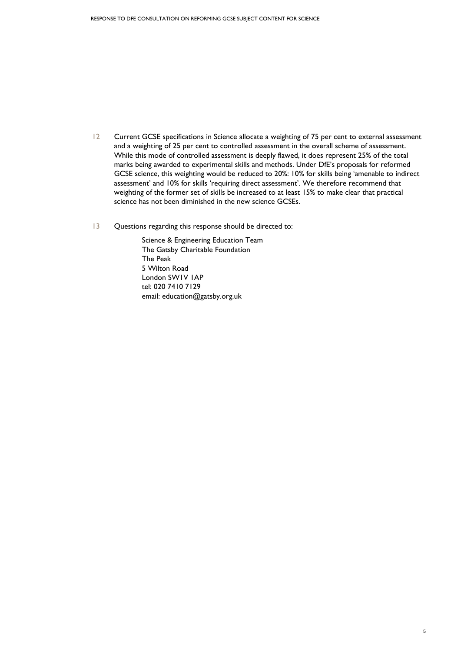- 12 Current GCSE specifications in Science allocate a weighting of 75 per cent to external assessment and a weighting of 25 per cent to controlled assessment in the overall scheme of assessment. While this mode of controlled assessment is deeply flawed, it does represent 25% of the total marks being awarded to experimental skills and methods. Under DfE's proposals for reformed GCSE science, this weighting would be reduced to 20%: 10% for skills being 'amenable to indirect assessment' and 10% for skills 'requiring direct assessment'. We therefore recommend that weighting of the former set of skills be increased to at least 15% to make clear that practical science has not been diminished in the new science GCSEs.
- 13 Questions regarding this response should be directed to:

Science & Engineering Education Team The Gatsby Charitable Foundation The Peak 5 Wilton Road London SW1V 1AP tel: 020 7410 7129 email: education@gatsby.org.uk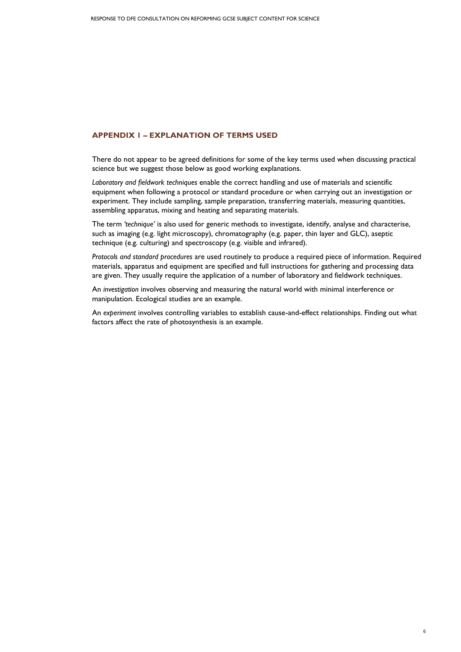# **APPENDIX 1 – EXPLANATION OF TERMS USED**

There do not appear to be agreed definitions for some of the key terms used when discussing practical science but we suggest those below as good working explanations.

*Laboratory and fieldwork techniques* enable the correct handling and use of materials and scientific equipment when following a protocol or standard procedure or when carrying out an investigation or experiment. They include sampling, sample preparation, transferring materials, measuring quantities, assembling apparatus, mixing and heating and separating materials.

The term *'technique'* is also used for generic methods to investigate, identify, analyse and characterise, such as imaging (e.g. light microscopy), chromatography (e.g. paper, thin layer and GLC), aseptic technique (e.g. culturing) and spectroscopy (e.g. visible and infrared).

*Protocols and standard procedures* are used routinely to produce a required piece of information. Required materials, apparatus and equipment are specified and full instructions for gathering and processing data are given. They usually require the application of a number of laboratory and fieldwork techniques.

An *investigation* involves observing and measuring the natural world with minimal interference or manipulation. Ecological studies are an example.

An *experiment* involves controlling variables to establish cause-and-effect relationships. Finding out what factors affect the rate of photosynthesis is an example.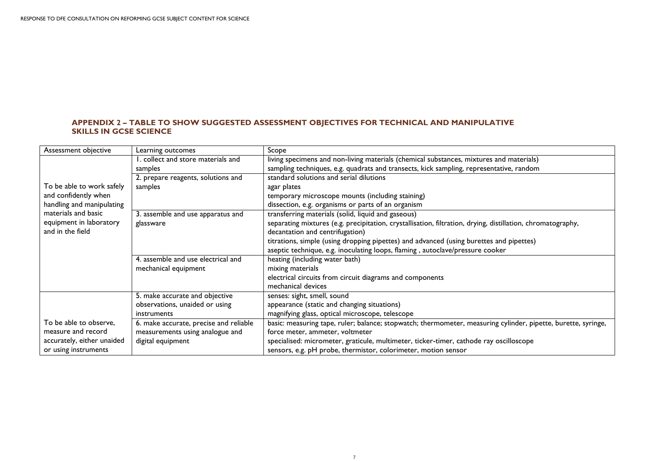## **APPENDIX 2 – TABLE TO SHOW SUGGESTED ASSESSMENT OBJECTIVES FOR TECHNICAL AND MANIPULATIVE SKILLS IN GCSE SCIENCE**

| Assessment objective       | Learning outcomes                                  | Scope                                                                                                         |
|----------------------------|----------------------------------------------------|---------------------------------------------------------------------------------------------------------------|
|                            | . collect and store materials and                  | living specimens and non-living materials (chemical substances, mixtures and materials)                       |
|                            | samples                                            | sampling techniques, e.g. quadrats and transects, kick sampling, representative, random                       |
|                            | 2. prepare reagents, solutions and                 | standard solutions and serial dilutions                                                                       |
| To be able to work safely  | samples                                            | agar plates                                                                                                   |
| and confidently when       |                                                    | temporary microscope mounts (including staining)                                                              |
| handling and manipulating  | dissection, e.g. organisms or parts of an organism |                                                                                                               |
| materials and basic        | 3. assemble and use apparatus and                  | transferring materials (solid, liquid and gaseous)                                                            |
| equipment in laboratory    | glassware                                          | separating mixtures (e.g. precipitation, crystallisation, filtration, drying, distillation, chromatography,   |
| and in the field           |                                                    | decantation and centrifugation)                                                                               |
|                            |                                                    | titrations, simple (using dropping pipettes) and advanced (using burettes and pipettes)                       |
|                            |                                                    | aseptic technique, e.g. inoculating loops, flaming, autoclave/pressure cooker                                 |
|                            | 4. assemble and use electrical and                 | heating (including water bath)                                                                                |
|                            | mechanical equipment                               | mixing materials                                                                                              |
|                            |                                                    | electrical circuits from circuit diagrams and components                                                      |
|                            |                                                    | mechanical devices                                                                                            |
|                            | 5. make accurate and objective                     | senses: sight, smell, sound                                                                                   |
|                            | observations, unaided or using                     | appearance (static and changing situations)                                                                   |
|                            | instruments                                        | magnifying glass, optical microscope, telescope                                                               |
| To be able to observe,     | 6. make accurate, precise and reliable             | basic: measuring tape, ruler; balance; stopwatch; thermometer, measuring cylinder, pipette, burette, syringe, |
| measure and record         | measurements using analogue and                    | force meter, ammeter, voltmeter                                                                               |
| accurately, either unaided | digital equipment                                  | specialised: micrometer, graticule, multimeter, ticker-timer, cathode ray oscilloscope                        |
| or using instruments       |                                                    | sensors, e.g. pH probe, thermistor, colorimeter, motion sensor                                                |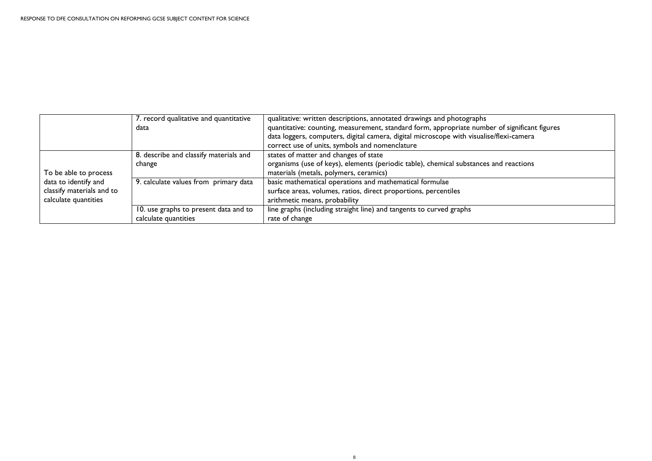|                           | 7. record qualitative and quantitative | qualitative: written descriptions, annotated drawings and photographs                         |
|---------------------------|----------------------------------------|-----------------------------------------------------------------------------------------------|
|                           | data                                   | quantitative: counting, measurement, standard form, appropriate number of significant figures |
|                           |                                        | data loggers, computers, digital camera, digital microscope with visualise/flexi-camera       |
|                           |                                        | correct use of units, symbols and nomenclature                                                |
|                           | 8. describe and classify materials and | states of matter and changes of state                                                         |
|                           | change                                 | organisms (use of keys), elements (periodic table), chemical substances and reactions         |
| To be able to process     |                                        | materials (metals, polymers, ceramics)                                                        |
| data to identify and      | 9. calculate values from primary data  | basic mathematical operations and mathematical formulae                                       |
| classify materials and to |                                        | surface areas, volumes, ratios, direct proportions, percentiles                               |
| calculate quantities      |                                        | arithmetic means, probability                                                                 |
|                           | 10. use graphs to present data and to  | line graphs (including straight line) and tangents to curved graphs                           |
|                           | calculate quantities                   | rate of change                                                                                |